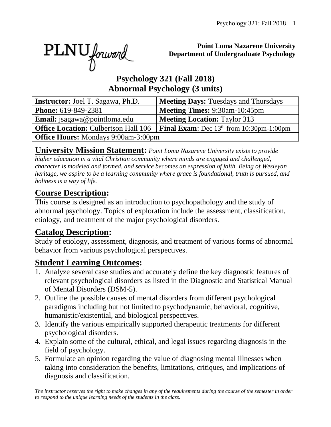PLNU forward

#### **Point Loma Nazarene University Department of Undergraduate Psychology**

## **Psychology 321 (Fall 2018) Abnormal Psychology (3 units)**

| <b>Instructor:</b> Joel T. Sagawa, Ph.D.    | <b>Meeting Days: Tuesdays and Thursdays</b>       |  |  |  |  |  |  |
|---------------------------------------------|---------------------------------------------------|--|--|--|--|--|--|
| <b>Phone:</b> 619-849-2381                  | <b>Meeting Times: 9:30am-10:45pm</b>              |  |  |  |  |  |  |
| <b>Email:</b> jsagawa@pointloma.edu         | <b>Meeting Location: Taylor 313</b>               |  |  |  |  |  |  |
| <b>Office Location: Culbertson Hall 106</b> | <b>Final Exam:</b> Dec $13th$ from 10:30pm-1:00pm |  |  |  |  |  |  |
| <b>Office Hours:</b> Mondays 9:00am-3:00pm  |                                                   |  |  |  |  |  |  |

**University Mission Statement:** *Point Loma Nazarene University exists to provide higher education in a vital Christian community where minds are engaged and challenged, character is modeled and formed, and service becomes an expression of faith. Being of Wesleyan heritage, we aspire to be a learning community where grace is foundational, truth is pursued, and holiness is a way of life.*

# **Course Description:**

This course is designed as an introduction to psychopathology and the study of abnormal psychology. Topics of exploration include the assessment, classification, etiology, and treatment of the major psychological disorders.

# **Catalog Description:**

Study of etiology, assessment, diagnosis, and treatment of various forms of abnormal behavior from various psychological perspectives.

# **Student Learning Outcomes:**

- 1. Analyze several case studies and accurately define the key diagnostic features of relevant psychological disorders as listed in the Diagnostic and Statistical Manual of Mental Disorders (DSM-5).
- 2. Outline the possible causes of mental disorders from different psychological paradigms including but not limited to psychodynamic, behavioral, cognitive, humanistic/existential, and biological perspectives.
- 3. Identify the various empirically supported therapeutic treatments for different psychological disorders.
- 4. Explain some of the cultural, ethical, and legal issues regarding diagnosis in the field of psychology.
- 5. Formulate an opinion regarding the value of diagnosing mental illnesses when taking into consideration the benefits, limitations, critiques, and implications of diagnosis and classification.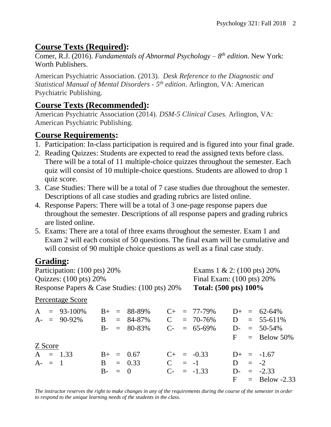# **Course Texts (Required):**

Comer, R.J. (2016). *Fundamentals of Abnormal Psychology – 8 th edition*. New York: Worth Publishers.

American Psychiatric Association. (2013). *Desk Reference to the Diagnostic and Statistical Manual of Mental Disorders - 5 th edition*. Arlington, VA: American Psychiatric Publishing.

### **Course Texts (Recommended):**

American Psychiatric Association (2014). *DSM-5 Clinical Cases.* Arlington, VA: American Psychiatric Publishing.

### **Course Requirements:**

- 1. Participation: In-class participation is required and is figured into your final grade.
- 2. Reading Quizzes: Students are expected to read the assigned texts before class. There will be a total of 11 multiple-choice quizzes throughout the semester. Each quiz will consist of 10 multiple-choice questions. Students are allowed to drop 1 quiz score.
- 3. Case Studies: There will be a total of 7 case studies due throughout the semester. Descriptions of all case studies and grading rubrics are listed online.
- 4. Response Papers: There will be a total of 3 one-page response papers due throughout the semester. Descriptions of all response papers and grading rubrics are listed online.
- 5. Exams: There are a total of three exams throughout the semester. Exam 1 and Exam 2 will each consist of 50 questions. The final exam will be cumulative and will consist of 90 multiple choice questions as well as a final case study.

# **Grading:**

| Participation: (100 pts) 20%                  |  |                                                                                                           |  |  |                                                                                                 |                                                                          | Exams $1 \& 2$ : (100 pts) 20% |                                                                                   |  |                                      |  |
|-----------------------------------------------|--|-----------------------------------------------------------------------------------------------------------|--|--|-------------------------------------------------------------------------------------------------|--------------------------------------------------------------------------|--------------------------------|-----------------------------------------------------------------------------------|--|--------------------------------------|--|
| Quizzes: $(100 \text{ pts}) 20\%$             |  |                                                                                                           |  |  |                                                                                                 | Final Exam: $(100 \text{ pts}) 20\%$<br>Total: $(500 \text{ pts}) 100\%$ |                                |                                                                                   |  |                                      |  |
| Response Papers & Case Studies: (100 pts) 20% |  |                                                                                                           |  |  |                                                                                                 |                                                                          |                                |                                                                                   |  |                                      |  |
|                                               |  |                                                                                                           |  |  |                                                                                                 |                                                                          |                                |                                                                                   |  |                                      |  |
|                                               |  |                                                                                                           |  |  |                                                                                                 |                                                                          |                                |                                                                                   |  | $D+ = 62-64\%$                       |  |
|                                               |  |                                                                                                           |  |  | $\mathbf C$                                                                                     |                                                                          |                                |                                                                                   |  | $= 55 - 611\%$                       |  |
|                                               |  |                                                                                                           |  |  |                                                                                                 |                                                                          |                                |                                                                                   |  | $D = 50-54\%$                        |  |
|                                               |  |                                                                                                           |  |  |                                                                                                 |                                                                          |                                |                                                                                   |  | $=$ Below 50%                        |  |
|                                               |  |                                                                                                           |  |  |                                                                                                 |                                                                          |                                |                                                                                   |  |                                      |  |
|                                               |  |                                                                                                           |  |  |                                                                                                 |                                                                          |                                |                                                                                   |  |                                      |  |
|                                               |  |                                                                                                           |  |  |                                                                                                 |                                                                          |                                | D                                                                                 |  |                                      |  |
|                                               |  | $\mathbf{v}$ . $\mathbf{w}$ .<br>Percentage Score<br>$A = 93-100\%$<br>Z Score<br>$A = 1.33$<br>$A - = 1$ |  |  | $B_{+}$ = 88-89%<br>$A = 90-92\%$ B = 84-87%<br>$B - = 80-83\%$<br>$B_{+} = 0.67$<br>$B = 0.33$ |                                                                          |                                | $C_{+}$ = 77-79%<br>$= 70 - 76\%$<br>$C = 65-69\%$<br>$C_{+}$ = -0.33<br>$C = -1$ |  | D<br>$F =$<br>$D+ = -1.67$<br>$= -2$ |  |

*The instructor reserves the right to make changes in any of the requirements during the course of the semester in order to respond to the unique learning needs of the students in the class.*

B- = 0  $C-$  = -1.33  $D-$  = -2.33

 $F =$  Below -2.33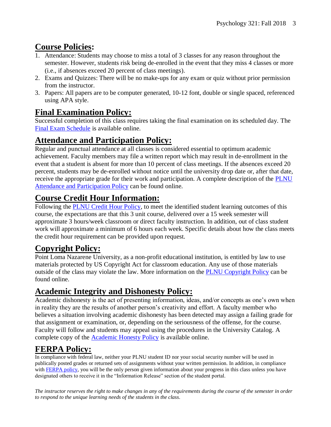# **Course Policies:**

- 1. Attendance: Students may choose to miss a total of 3 classes for any reason throughout the semester. However, students risk being de-enrolled in the event that they miss 4 classes or more (i.e., if absences exceed 20 percent of class meetings).
- 2. Exams and Quizzes: There will be no make-ups for any exam or quiz without prior permission from the instructor.
- 3. Papers: All papers are to be computer generated, 10-12 font, double or single spaced, referenced using APA style.

# **Final Examination Policy:**

Successful completion of this class requires taking the final examination on its scheduled day. The [Final Exam Schedule](http://www.pointloma.edu/experience/academics/class-schedules) is available online.

# **Attendance and Participation Policy:**

Regular and punctual attendance at all classes is considered essential to optimum academic achievement. Faculty members may file a written report which may result in de-enrollment in the event that a student is absent for more than 10 percent of class meetings. If the absences exceed 20 percent, students may be de-enrolled without notice until the university drop date or, after that date, receive the appropriate grade for their work and participation. A complete description of the [PLNU](http://catalog.pointloma.edu/content.php?catoid=18&navoid=1278#Class_Attendance)  Attendance [and Participation](http://catalog.pointloma.edu/content.php?catoid=18&navoid=1278#Class_Attendance) Policy can be found online.

# **Course Credit Hour Information:**

Following the [PLNU Credit Hour Policy,](http://catalog.pointloma.edu/content.php?catoid=18&navoid=1278#Credit_Hour_Definition) to meet the identified student learning outcomes of this course, the expectations are that this 3 unit course, delivered over a 15 week semester will approximate 3 hours/week classroom or direct faculty instruction. In addition, out of class student work will approximate a minimum of 6 hours each week. Specific details about how the class meets the credit hour requirement can be provided upon request.

# **Copyright Policy:**

Point Loma Nazarene University, as a non-profit educational institution, is entitled by law to use materials protected by US Copyright Act for classroom education. Any use of those materials outside of the class may violate the law. More information on the **PLNU** Copyright Policy can be found online.

## **Academic Integrity and Dishonesty Policy:**

Academic dishonesty is the act of presenting information, ideas, and/or concepts as one's own when in reality they are the results of another person's creativity and effort. A faculty member who believes a situation involving academic dishonesty has been detected may assign a failing grade for that assignment or examination, or, depending on the seriousness of the offense, for the course. Faculty will follow and students may appeal using the procedures in the University Catalog. A complete copy of the [Academic Honesty Policy](http://catalog.pointloma.edu/content.php?catoid=18&navoid=1278#Academic_Honesty) is available online.

# **FERPA Policy:**

In compliance with federal law, neither your PLNU student ID nor your social security number will be used in publically posted grades or returned sets of assignments without your written permission. In addition, in compliance with [FERPA policy,](http://catalog.pointloma.edu/content.php?catoid=18&navoid=1278#Education_Records__FERPA__and_Directory_Information) you will be the only person given information about your progress in this class unless you have designated others to receive it in the "Information Release" section of the student portal.

*The instructor reserves the right to make changes in any of the requirements during the course of the semester in order to respond to the unique learning needs of the students in the class.*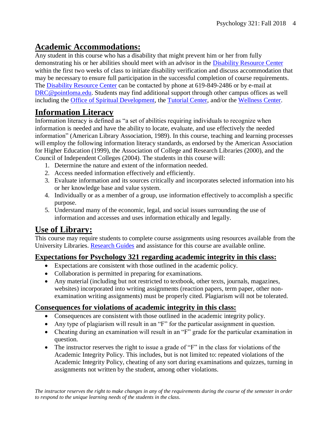## **Academic Accommodations:**

Any student in this course who has a disability that might prevent him or her from fully demonstrating his or her abilities should meet with an advisor in the [Disability Resource Center](http://www.pointloma.edu/experience/offices/administrative-offices/academic-advising-office/disability-resource-center) within the first two weeks of class to initiate disability verification and discuss accommodation that may be necessary to ensure full participation in the successful completion of course requirements. The [Disability Resource Center](http://www.pointloma.edu/experience/offices/administrative-offices/academic-advising-office/disability-resource-center) can be contacted by phone at 619-849-2486 or by e-mail at [DRC@pointloma.edu.](mailto:DRC@pointloma.edu) Students may find additional support through other campus offices as well including the [Office of Spiritual Development,](https://www.pointloma.edu/offices/spiritual-development) the [Tutorial Center,](https://www.pointloma.edu/offices/tutorial-services) and/or the [Wellness Center.](https://www.pointloma.edu/offices/wellness-center)

# **Information Literacy**

Information literacy is defined as "a set of abilities requiring individuals to recognize when information is needed and have the ability to locate, evaluate, and use effectively the needed information" (American Library Association, 1989). In this course, teaching and learning processes will employ the following information literacy standards, as endorsed by the American Association for Higher Education (1999), the Association of College and Research Libraries (2000), and the Council of Independent Colleges (2004). The students in this course will:

- 1. Determine the nature and extent of the information needed.
- 2. Access needed information effectively and efficiently.
- 3. Evaluate information and its sources critically and incorporates selected information into his or her knowledge base and value system.
- 4. Individually or as a member of a group, use information effectively to accomplish a specific purpose.
- 5. Understand many of the economic, legal, and social issues surrounding the use of information and accesses and uses information ethically and legally.

# **Use of Library:**

This course may require students to complete course assignments using resources available from the University Libraries. [Research Guides](http://libguides.pointloma.edu/ResearchGuides) and assistance for this course are available online.

#### **Expectations for Psychology 321 regarding academic integrity in this class:**

- Expectations are consistent with those outlined in the academic policy.
- Collaboration is permitted in preparing for examinations.
- Any material (including but not restricted to textbook, other texts, journals, magazines, websites) incorporated into writing assignments (reaction papers, term paper, other nonexamination writing assignments) must be properly cited. Plagiarism will not be tolerated.

#### **Consequences for violations of academic integrity in this class:**

- Consequences are consistent with those outlined in the academic integrity policy.
- Any type of plagiarism will result in an "F" for the particular assignment in question.
- Cheating during an examination will result in an "F" grade for the particular examination in question.
- The instructor reserves the right to issue a grade of "F" in the class for violations of the Academic Integrity Policy. This includes, but is not limited to: repeated violations of the Academic Integrity Policy, cheating of any sort during examinations and quizzes, turning in assignments not written by the student, among other violations.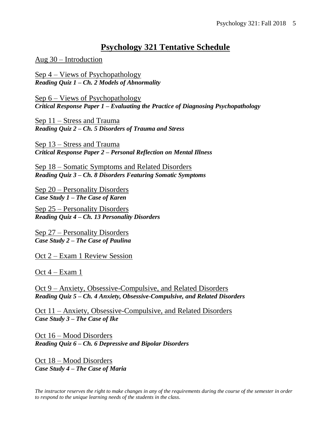### **Psychology 321 Tentative Schedule**

Aug 30 – Introduction

Sep 4 – Views of Psychopathology *Reading Quiz 1 – Ch. 2 Models of Abnormality*

Sep 6 – Views of Psychopathology *Critical Response Paper 1 – Evaluating the Practice of Diagnosing Psychopathology*

Sep 11 – Stress and Trauma *Reading Quiz 2 – Ch. 5 Disorders of Trauma and Stress*

Sep 13 – Stress and Trauma *Critical Response Paper 2 – Personal Reflection on Mental Illness*

Sep 18 – Somatic Symptoms and Related Disorders *Reading Quiz 3 – Ch. 8 Disorders Featuring Somatic Symptoms*

Sep 20 – Personality Disorders *Case Study 1 – The Case of Karen*

Sep 25 – Personality Disorders *Reading Quiz 4 – Ch. 13 Personality Disorders*

Sep 27 – Personality Disorders *Case Study 2 – The Case of Paulina*

Oct 2 – Exam 1 Review Session

Oct 4 – Exam 1

Oct 9 – Anxiety, Obsessive-Compulsive, and Related Disorders *Reading Quiz 5 – Ch. 4 Anxiety, Obsessive-Compulsive, and Related Disorders*

Oct 11 – Anxiety, Obsessive-Compulsive, and Related Disorders *Case Study 3 – The Case of Ike*

Oct 16 – Mood Disorders *Reading Quiz 6 – Ch. 6 Depressive and Bipolar Disorders*

Oct 18 – Mood Disorders *Case Study 4 – The Case of Maria* 

*The instructor reserves the right to make changes in any of the requirements during the course of the semester in order to respond to the unique learning needs of the students in the class.*